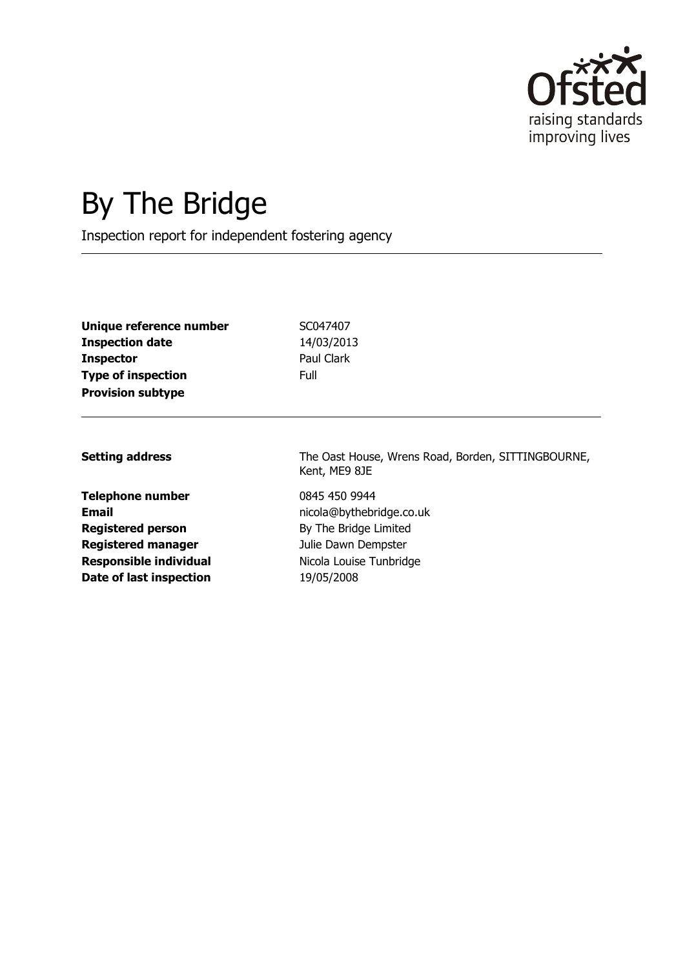

# By The Bridge

Inspection report for independent fostering agency

| Unique reference number   | SC(  |
|---------------------------|------|
| Inspection date           | 14/  |
| Inspector                 | Pau  |
| <b>Type of inspection</b> | Full |
| <b>Provision subtype</b>  |      |

**Unique reference number** SC047407 **Inspection date** 14/03/2013 Paul Clark

**Telephone number** 0845 450 9944 **Registered person** By The Bridge Limited **Registered manager** Julie Dawn Dempster **Responsible individual** Nicola Louise Tunbridge **Date of last inspection** 19/05/2008

**Setting address** The Oast House, Wrens Road, Borden, SITTINGBOURNE, Kent, ME9 8JE

**Email** nicola@bythebridge.co.uk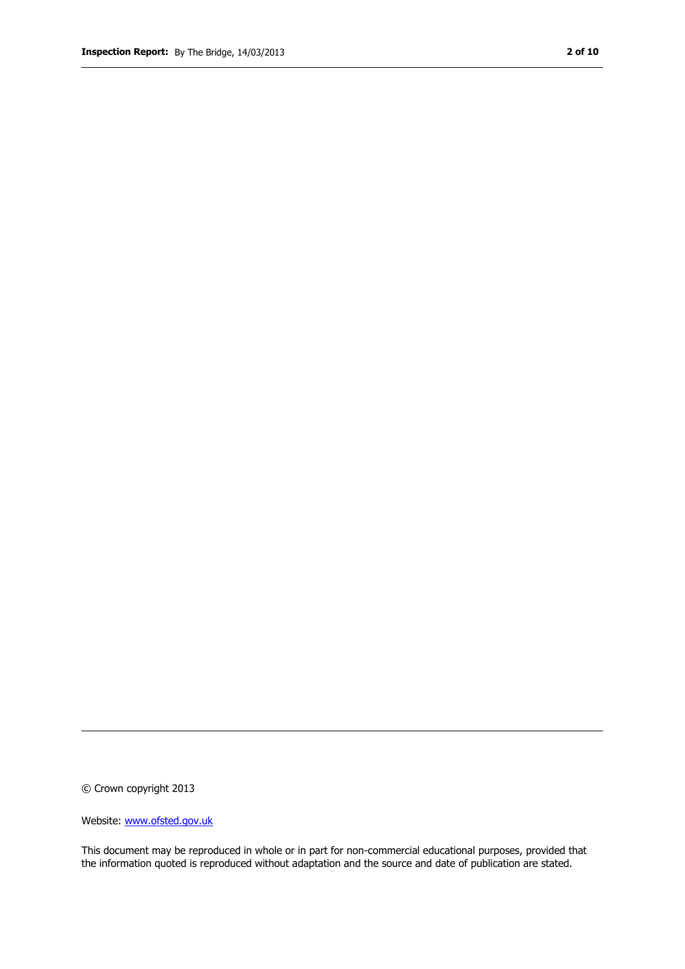© Crown copyright 2013

Website: www.ofsted.gov.uk

This document may be reproduced in whole or in part for non-commercial educational purposes, provided that the information quoted is reproduced without adaptation and the source and date of publication are stated.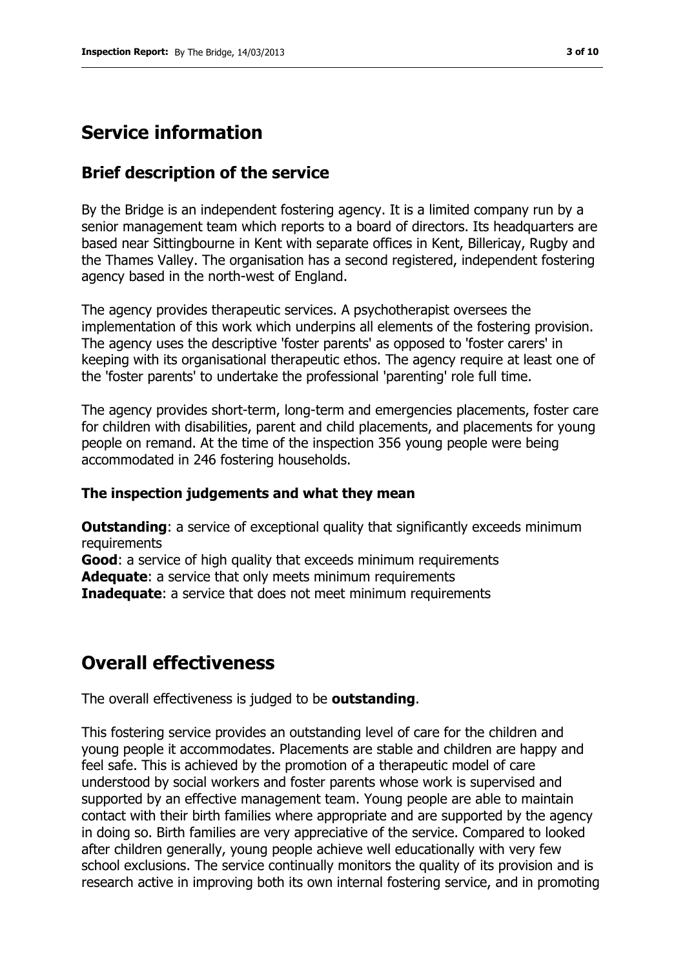## **Service information**

### **Brief description of the service**

By the Bridge is an independent fostering agency. It is a limited company run by a senior management team which reports to a board of directors. Its headquarters are based near Sittingbourne in Kent with separate offices in Kent, Billericay, Rugby and the Thames Valley. The organisation has a second registered, independent fostering agency based in the north-west of England.

The agency provides therapeutic services. A psychotherapist oversees the implementation of this work which underpins all elements of the fostering provision. The agency uses the descriptive 'foster parents' as opposed to 'foster carers' in keeping with its organisational therapeutic ethos. The agency require at least one of the 'foster parents' to undertake the professional 'parenting' role full time.

The agency provides short-term, long-term and emergencies placements, foster care for children with disabilities, parent and child placements, and placements for young people on remand. At the time of the inspection 356 young people were being accommodated in 246 fostering households.

#### **The inspection judgements and what they mean**

**Outstanding:** a service of exceptional quality that significantly exceeds minimum requirements **Good**: a service of high quality that exceeds minimum requirements **Adequate**: a service that only meets minimum requirements **Inadequate:** a service that does not meet minimum requirements

## **Overall effectiveness**

The overall effectiveness is judged to be **outstanding**.

This fostering service provides an outstanding level of care for the children and young people it accommodates. Placements are stable and children are happy and feel safe. This is achieved by the promotion of a therapeutic model of care understood by social workers and foster parents whose work is supervised and supported by an effective management team. Young people are able to maintain contact with their birth families where appropriate and are supported by the agency in doing so. Birth families are very appreciative of the service. Compared to looked after children generally, young people achieve well educationally with very few school exclusions. The service continually monitors the quality of its provision and is research active in improving both its own internal fostering service, and in promoting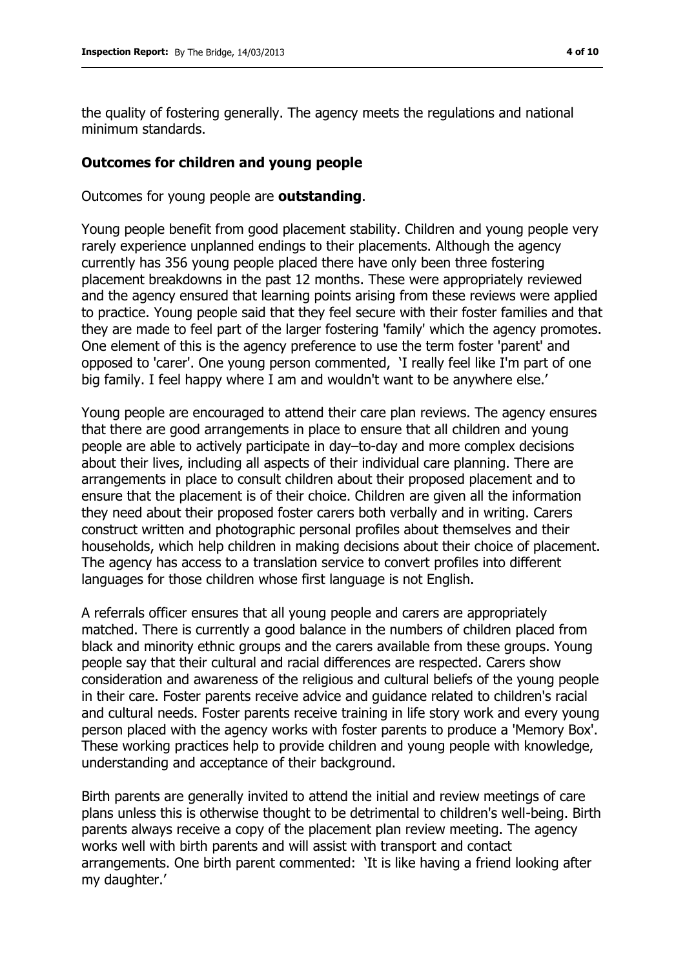the quality of fostering generally. The agency meets the regulations and national minimum standards.

#### **Outcomes for children and young people**

Outcomes for young people are **outstanding**.

Young people benefit from good placement stability. Children and young people very rarely experience unplanned endings to their placements. Although the agency currently has 356 young people placed there have only been three fostering placement breakdowns in the past 12 months. These were appropriately reviewed and the agency ensured that learning points arising from these reviews were applied to practice. Young people said that they feel secure with their foster families and that they are made to feel part of the larger fostering 'family' which the agency promotes. One element of this is the agency preference to use the term foster 'parent' and opposed to 'carer'. One young person commented, 'I really feel like I'm part of one big family. I feel happy where I am and wouldn't want to be anywhere else.'

Young people are encouraged to attend their care plan reviews. The agency ensures that there are good arrangements in place to ensure that all children and young people are able to actively participate in day–to-day and more complex decisions about their lives, including all aspects of their individual care planning. There are arrangements in place to consult children about their proposed placement and to ensure that the placement is of their choice. Children are given all the information they need about their proposed foster carers both verbally and in writing. Carers construct written and photographic personal profiles about themselves and their households, which help children in making decisions about their choice of placement. The agency has access to a translation service to convert profiles into different languages for those children whose first language is not English.

A referrals officer ensures that all young people and carers are appropriately matched. There is currently a good balance in the numbers of children placed from black and minority ethnic groups and the carers available from these groups. Young people say that their cultural and racial differences are respected. Carers show consideration and awareness of the religious and cultural beliefs of the young people in their care. Foster parents receive advice and guidance related to children's racial and cultural needs. Foster parents receive training in life story work and every young person placed with the agency works with foster parents to produce a 'Memory Box'. These working practices help to provide children and young people with knowledge, understanding and acceptance of their background.

Birth parents are generally invited to attend the initial and review meetings of care plans unless this is otherwise thought to be detrimental to children's well-being. Birth parents always receive a copy of the placement plan review meeting. The agency works well with birth parents and will assist with transport and contact arrangements. One birth parent commented: 'It is like having a friend looking after my daughter.'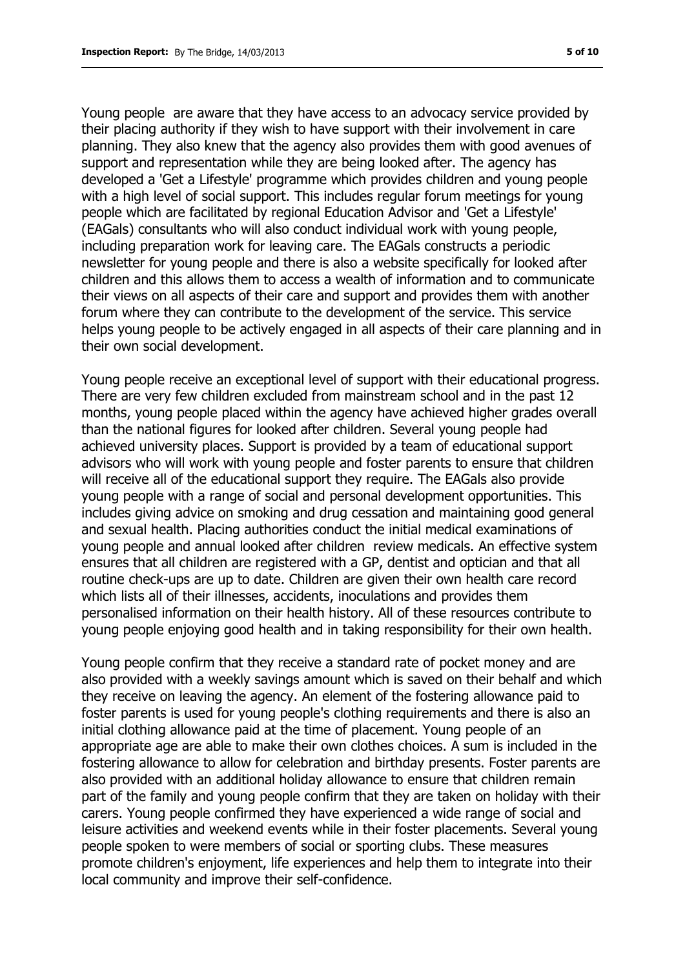Young people are aware that they have access to an advocacy service provided by their placing authority if they wish to have support with their involvement in care planning. They also knew that the agency also provides them with good avenues of support and representation while they are being looked after. The agency has developed a 'Get a Lifestyle' programme which provides children and young people with a high level of social support. This includes regular forum meetings for young people which are facilitated by regional Education Advisor and 'Get a Lifestyle' (EAGals) consultants who will also conduct individual work with young people, including preparation work for leaving care. The EAGals constructs a periodic newsletter for young people and there is also a website specifically for looked after children and this allows them to access a wealth of information and to communicate their views on all aspects of their care and support and provides them with another forum where they can contribute to the development of the service. This service helps young people to be actively engaged in all aspects of their care planning and in their own social development.

Young people receive an exceptional level of support with their educational progress. There are very few children excluded from mainstream school and in the past 12 months, young people placed within the agency have achieved higher grades overall than the national figures for looked after children. Several young people had achieved university places. Support is provided by a team of educational support advisors who will work with young people and foster parents to ensure that children will receive all of the educational support they require. The EAGals also provide young people with a range of social and personal development opportunities. This includes giving advice on smoking and drug cessation and maintaining good general and sexual health. Placing authorities conduct the initial medical examinations of young people and annual looked after children review medicals. An effective system ensures that all children are registered with a GP, dentist and optician and that all routine check-ups are up to date. Children are given their own health care record which lists all of their illnesses, accidents, inoculations and provides them personalised information on their health history. All of these resources contribute to young people enjoying good health and in taking responsibility for their own health.

Young people confirm that they receive a standard rate of pocket money and are also provided with a weekly savings amount which is saved on their behalf and which they receive on leaving the agency. An element of the fostering allowance paid to foster parents is used for young people's clothing requirements and there is also an initial clothing allowance paid at the time of placement. Young people of an appropriate age are able to make their own clothes choices. A sum is included in the fostering allowance to allow for celebration and birthday presents. Foster parents are also provided with an additional holiday allowance to ensure that children remain part of the family and young people confirm that they are taken on holiday with their carers. Young people confirmed they have experienced a wide range of social and leisure activities and weekend events while in their foster placements. Several young people spoken to were members of social or sporting clubs. These measures promote children's enjoyment, life experiences and help them to integrate into their local community and improve their self-confidence.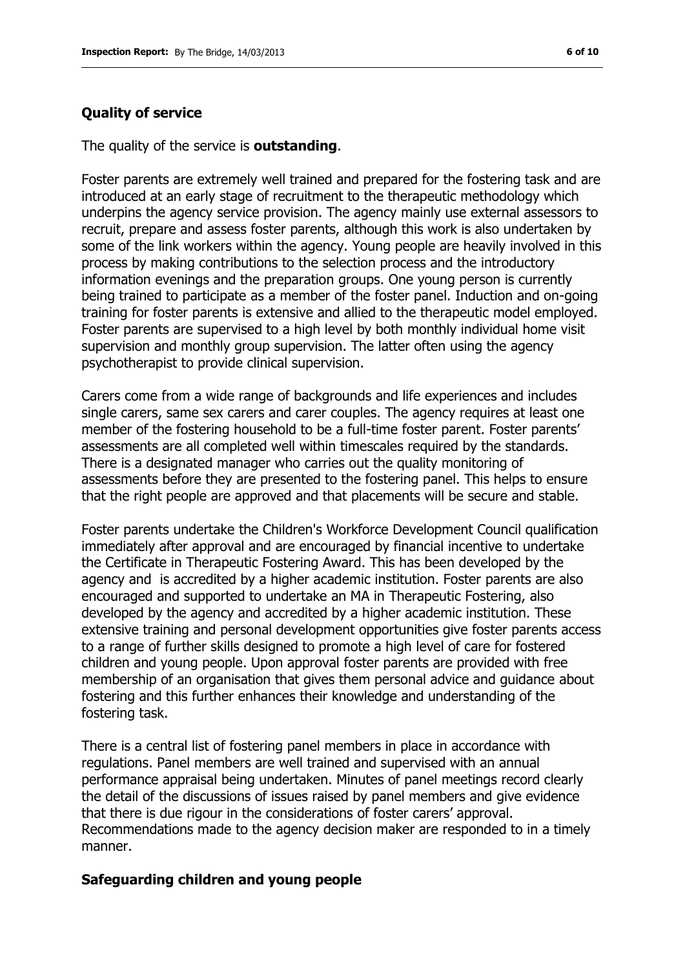#### **Quality of service**

The quality of the service is **outstanding**.

Foster parents are extremely well trained and prepared for the fostering task and are introduced at an early stage of recruitment to the therapeutic methodology which underpins the agency service provision. The agency mainly use external assessors to recruit, prepare and assess foster parents, although this work is also undertaken by some of the link workers within the agency. Young people are heavily involved in this process by making contributions to the selection process and the introductory information evenings and the preparation groups. One young person is currently being trained to participate as a member of the foster panel. Induction and on-going training for foster parents is extensive and allied to the therapeutic model employed. Foster parents are supervised to a high level by both monthly individual home visit supervision and monthly group supervision. The latter often using the agency psychotherapist to provide clinical supervision.

Carers come from a wide range of backgrounds and life experiences and includes single carers, same sex carers and carer couples. The agency requires at least one member of the fostering household to be a full-time foster parent. Foster parents' assessments are all completed well within timescales required by the standards. There is a designated manager who carries out the quality monitoring of assessments before they are presented to the fostering panel. This helps to ensure that the right people are approved and that placements will be secure and stable.

Foster parents undertake the Children's Workforce Development Council qualification immediately after approval and are encouraged by financial incentive to undertake the Certificate in Therapeutic Fostering Award. This has been developed by the agency and is accredited by a higher academic institution. Foster parents are also encouraged and supported to undertake an MA in Therapeutic Fostering, also developed by the agency and accredited by a higher academic institution. These extensive training and personal development opportunities give foster parents access to a range of further skills designed to promote a high level of care for fostered children and young people. Upon approval foster parents are provided with free membership of an organisation that gives them personal advice and guidance about fostering and this further enhances their knowledge and understanding of the fostering task.

There is a central list of fostering panel members in place in accordance with regulations. Panel members are well trained and supervised with an annual performance appraisal being undertaken. Minutes of panel meetings record clearly the detail of the discussions of issues raised by panel members and give evidence that there is due rigour in the considerations of foster carers' approval. Recommendations made to the agency decision maker are responded to in a timely manner.

#### **Safeguarding children and young people**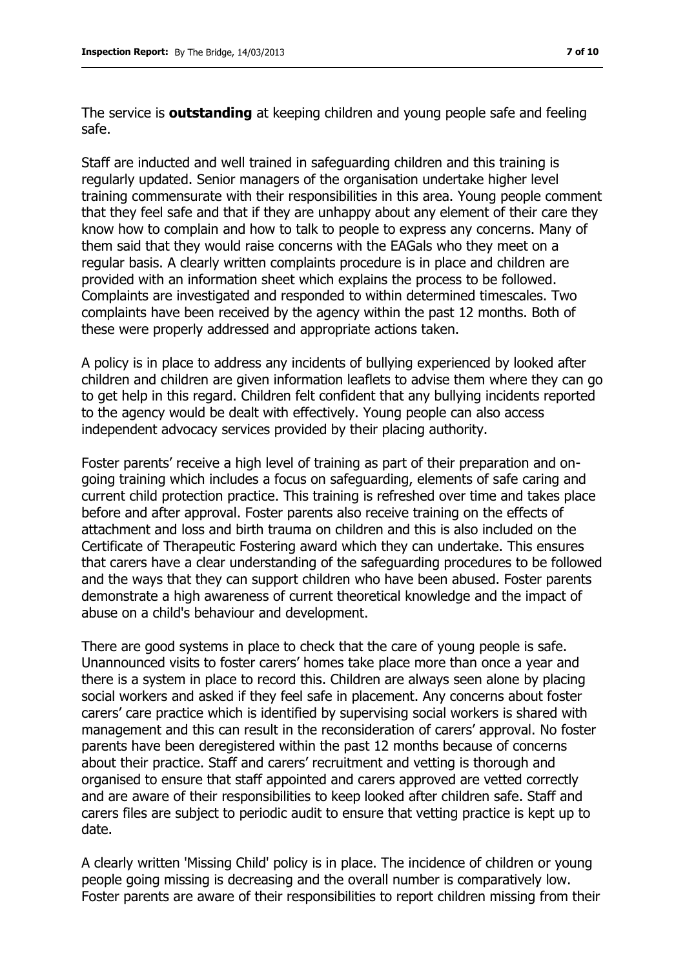The service is **outstanding** at keeping children and young people safe and feeling safe.

Staff are inducted and well trained in safeguarding children and this training is regularly updated. Senior managers of the organisation undertake higher level training commensurate with their responsibilities in this area. Young people comment that they feel safe and that if they are unhappy about any element of their care they know how to complain and how to talk to people to express any concerns. Many of them said that they would raise concerns with the EAGals who they meet on a regular basis. A clearly written complaints procedure is in place and children are provided with an information sheet which explains the process to be followed. Complaints are investigated and responded to within determined timescales. Two complaints have been received by the agency within the past 12 months. Both of these were properly addressed and appropriate actions taken.

A policy is in place to address any incidents of bullying experienced by looked after children and children are given information leaflets to advise them where they can go to get help in this regard. Children felt confident that any bullying incidents reported to the agency would be dealt with effectively. Young people can also access independent advocacy services provided by their placing authority.

Foster parents' receive a high level of training as part of their preparation and ongoing training which includes a focus on safeguarding, elements of safe caring and current child protection practice. This training is refreshed over time and takes place before and after approval. Foster parents also receive training on the effects of attachment and loss and birth trauma on children and this is also included on the Certificate of Therapeutic Fostering award which they can undertake. This ensures that carers have a clear understanding of the safeguarding procedures to be followed and the ways that they can support children who have been abused. Foster parents demonstrate a high awareness of current theoretical knowledge and the impact of abuse on a child's behaviour and development.

There are good systems in place to check that the care of young people is safe. Unannounced visits to foster carers' homes take place more than once a year and there is a system in place to record this. Children are always seen alone by placing social workers and asked if they feel safe in placement. Any concerns about foster carers' care practice which is identified by supervising social workers is shared with management and this can result in the reconsideration of carers' approval. No foster parents have been deregistered within the past 12 months because of concerns about their practice. Staff and carers' recruitment and vetting is thorough and organised to ensure that staff appointed and carers approved are vetted correctly and are aware of their responsibilities to keep looked after children safe. Staff and carers files are subject to periodic audit to ensure that vetting practice is kept up to date.

A clearly written 'Missing Child' policy is in place. The incidence of children or young people going missing is decreasing and the overall number is comparatively low. Foster parents are aware of their responsibilities to report children missing from their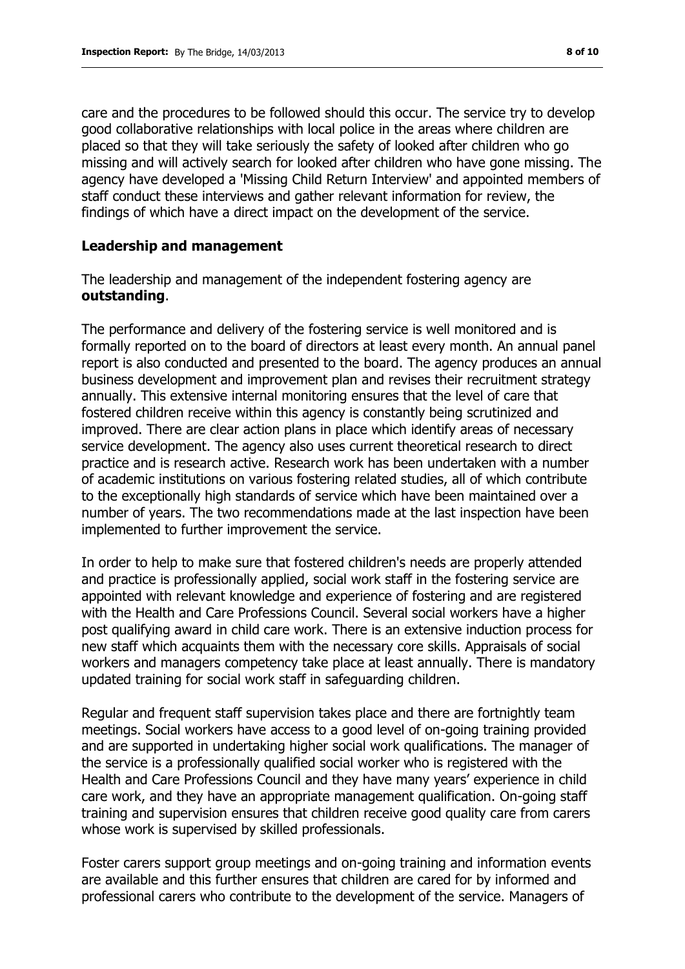care and the procedures to be followed should this occur. The service try to develop good collaborative relationships with local police in the areas where children are placed so that they will take seriously the safety of looked after children who go missing and will actively search for looked after children who have gone missing. The agency have developed a 'Missing Child Return Interview' and appointed members of staff conduct these interviews and gather relevant information for review, the findings of which have a direct impact on the development of the service.

#### **Leadership and management**

The leadership and management of the independent fostering agency are **outstanding**.

The performance and delivery of the fostering service is well monitored and is formally reported on to the board of directors at least every month. An annual panel report is also conducted and presented to the board. The agency produces an annual business development and improvement plan and revises their recruitment strategy annually. This extensive internal monitoring ensures that the level of care that fostered children receive within this agency is constantly being scrutinized and improved. There are clear action plans in place which identify areas of necessary service development. The agency also uses current theoretical research to direct practice and is research active. Research work has been undertaken with a number of academic institutions on various fostering related studies, all of which contribute to the exceptionally high standards of service which have been maintained over a number of years. The two recommendations made at the last inspection have been implemented to further improvement the service.

In order to help to make sure that fostered children's needs are properly attended and practice is professionally applied, social work staff in the fostering service are appointed with relevant knowledge and experience of fostering and are registered with the Health and Care Professions Council. Several social workers have a higher post qualifying award in child care work. There is an extensive induction process for new staff which acquaints them with the necessary core skills. Appraisals of social workers and managers competency take place at least annually. There is mandatory updated training for social work staff in safeguarding children.

Regular and frequent staff supervision takes place and there are fortnightly team meetings. Social workers have access to a good level of on-going training provided and are supported in undertaking higher social work qualifications. The manager of the service is a professionally qualified social worker who is registered with the Health and Care Professions Council and they have many years' experience in child care work, and they have an appropriate management qualification. On-going staff training and supervision ensures that children receive good quality care from carers whose work is supervised by skilled professionals.

Foster carers support group meetings and on-going training and information events are available and this further ensures that children are cared for by informed and professional carers who contribute to the development of the service. Managers of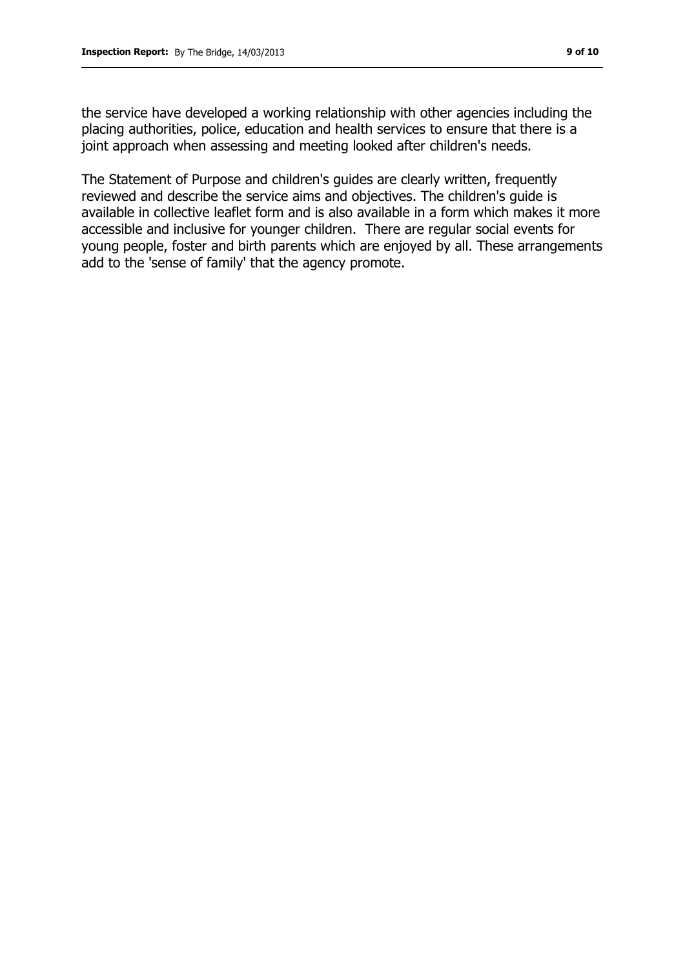the service have developed a working relationship with other agencies including the placing authorities, police, education and health services to ensure that there is a joint approach when assessing and meeting looked after children's needs.

The Statement of Purpose and children's guides are clearly written, frequently reviewed and describe the service aims and objectives. The children's guide is available in collective leaflet form and is also available in a form which makes it more accessible and inclusive for younger children. There are regular social events for young people, foster and birth parents which are enjoyed by all. These arrangements add to the 'sense of family' that the agency promote.